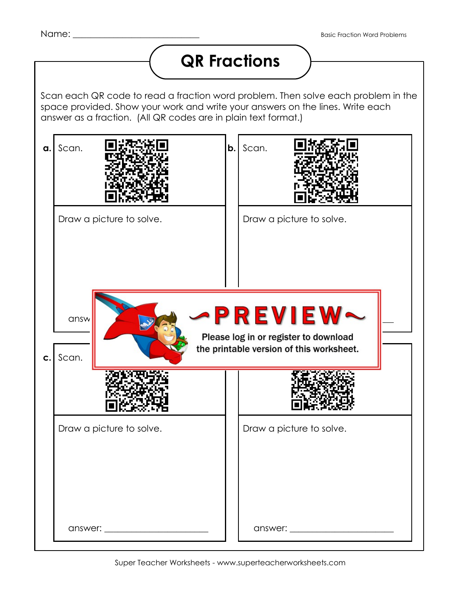## **QR Fractions**

Scan each QR code to read a fraction word problem. Then solve each problem in the space provided. Show your work and write your answers on the lines. Write each answer as a fraction. (All QR codes are in plain text format.)

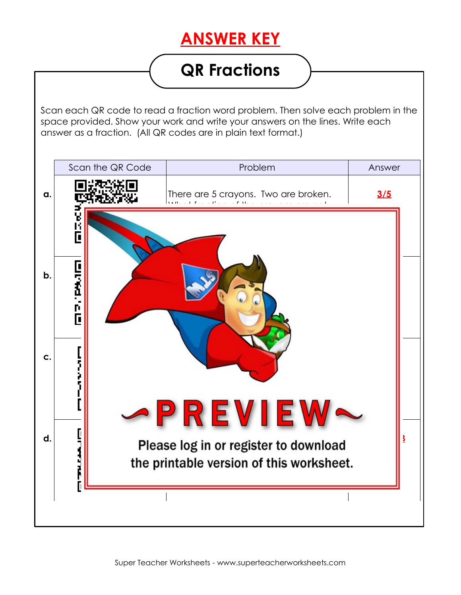## **ANSWER KEY**

## **QR Fractions**

Scan each QR code to read a fraction word problem. Then solve each problem in the space provided. Show your work and write your answers on the lines. Write each answer as a fraction. (All QR codes are in plain text format.)